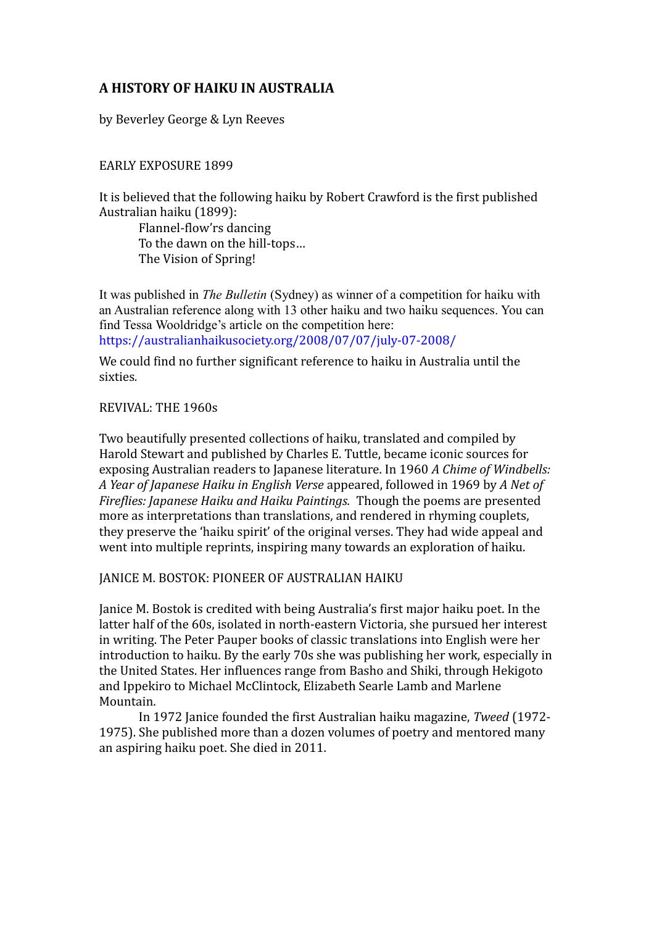# **A HISTORY OF HAIKU IN AUSTRALIA**

by Beverley George & Lyn Reeves

# EARLY EXPOSURE 1899

It is believed that the following haiku by Robert Crawford is the first published Australian haiku (1899):

Flannel-flow'rs dancing To the dawn on the hill-tops… The Vision of Spring!

It was published in *The Bulletin* (Sydney) as winner of a competition for haiku with an Australian reference along with 13 other haiku and two haiku sequences. You can find Tessa Wooldridge's article on the competition here: https://australianhaikusociety.org/2008/07/07/july‐07‐2008/

We could find no further significant reference to haiku in Australia until the sixties*.*

## REVIVAL: THE 1960s

Two beautifully presented collections of haiku, translated and compiled by Harold Stewart and published by Charles E. Tuttle, became iconic sources for exposing Australian readers to Japanese literature. In 1960 *A Chime of Windbells: A Year of Japanese Haiku in English Verse* appeared, followed in 1969 by *A Net of Fireflies: Japanese Haiku and Haiku Paintings.* Though the poems are presented more as interpretations than translations, and rendered in rhyming couplets, they preserve the 'haiku spirit' of the original verses. They had wide appeal and went into multiple reprints, inspiring many towards an exploration of haiku.

JANICE M. BOSTOK: PIONEER OF AUSTRALIAN HAIKU

Janice M. Bostok is credited with being Australia's first major haiku poet. In the latter half of the 60s, isolated in north-eastern Victoria, she pursued her interest in writing. The Peter Pauper books of classic translations into English were her introduction to haiku. By the early 70s she was publishing her work, especially in the United States. Her influences range from Basho and Shiki, through Hekigoto and Ippekiro to Michael McClintock, Elizabeth Searle Lamb and Marlene Mountain.

In 1972 Janice founded the first Australian haiku magazine, *Tweed* (1972- 1975). She published more than a dozen volumes of poetry and mentored many an aspiring haiku poet. She died in 2011.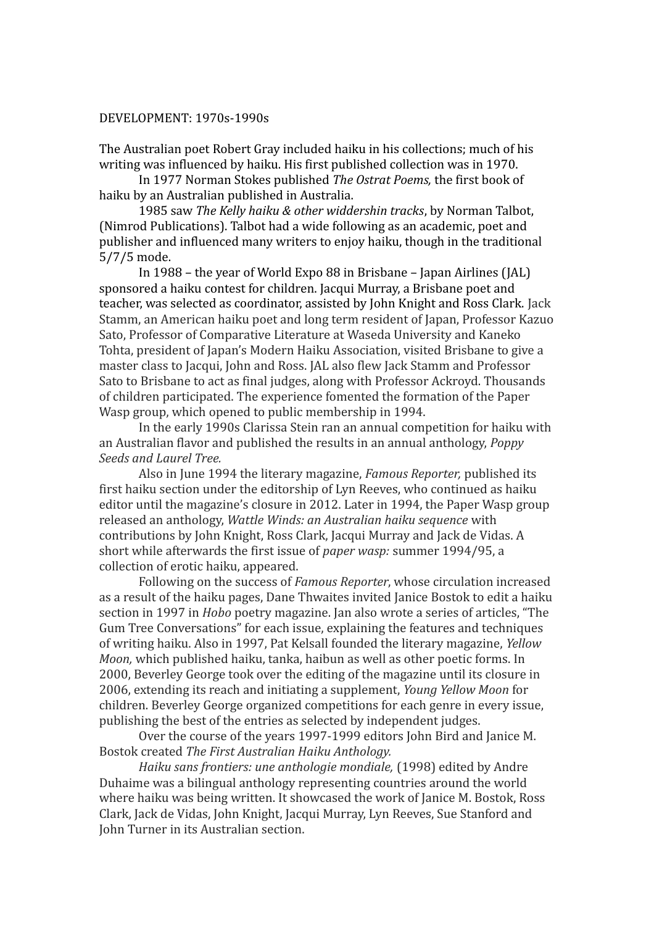#### DEVELOPMENT: 1970s-1990s

The Australian poet Robert Gray included haiku in his collections; much of his writing was influenced by haiku. His first published collection was in 1970.

In 1977 Norman Stokes published *The Ostrat Poems,* the first book of haiku by an Australian published in Australia.

1985 saw *The Kelly haiku & other widdershin tracks*, by Norman Talbot, (Nimrod Publications). Talbot had a wide following as an academic, poet and publisher and influenced many writers to enjoy haiku, though in the traditional 5/7/5 mode.

In 1988 – the year of World Expo 88 in Brisbane – Japan Airlines (JAL) sponsored a haiku contest for children. Jacqui Murray, a Brisbane poet and teacher, was selected as coordinator, assisted by John Knight and Ross Clark. Jack Stamm, an American haiku poet and long term resident of Japan, Professor Kazuo Sato, Professor of Comparative Literature at Waseda University and Kaneko Tohta, president of Japan's Modern Haiku Association, visited Brisbane to give a master class to Jacqui, John and Ross. JAL also flew Jack Stamm and Professor Sato to Brisbane to act as final judges, along with Professor Ackroyd. Thousands of children participated. The experience fomented the formation of the Paper Wasp group, which opened to public membership in 1994.

In the early 1990s Clarissa Stein ran an annual competition for haiku with an Australian flavor and published the results in an annual anthology, *Poppy Seeds and Laurel Tree.*

Also in June 1994 the literary magazine, *Famous Reporter,* published its first haiku section under the editorship of Lyn Reeves, who continued as haiku editor until the magazine's closure in 2012. Later in 1994, the Paper Wasp group released an anthology, *Wattle Winds: an Australian haiku sequence* with contributions by John Knight, Ross Clark, Jacqui Murray and Jack de Vidas. A short while afterwards the first issue of *paper wasp:* summer 1994/95, a collection of erotic haiku, appeared.

Following on the success of *Famous Reporter*, whose circulation increased as a result of the haiku pages, Dane Thwaites invited Janice Bostok to edit a haiku section in 1997 in *Hobo* poetry magazine. Jan also wrote a series of articles, "The Gum Tree Conversations" for each issue, explaining the features and techniques of writing haiku. Also in 1997, Pat Kelsall founded the literary magazine, *Yellow Moon,* which published haiku, tanka, haibun as well as other poetic forms. In 2000, Beverley George took over the editing of the magazine until its closure in 2006, extending its reach and initiating a supplement, *Young Yellow Moon* for children. Beverley George organized competitions for each genre in every issue, publishing the best of the entries as selected by independent judges.

Over the course of the years 1997-1999 editors John Bird and Janice M. Bostok created *The First Australian Haiku Anthology.*

*Haiku sans frontiers: une anthologie mondiale,* (1998) edited by Andre Duhaime was a bilingual anthology representing countries around the world where haiku was being written. It showcased the work of Janice M. Bostok, Ross Clark, Jack de Vidas, John Knight, Jacqui Murray, Lyn Reeves, Sue Stanford and John Turner in its Australian section.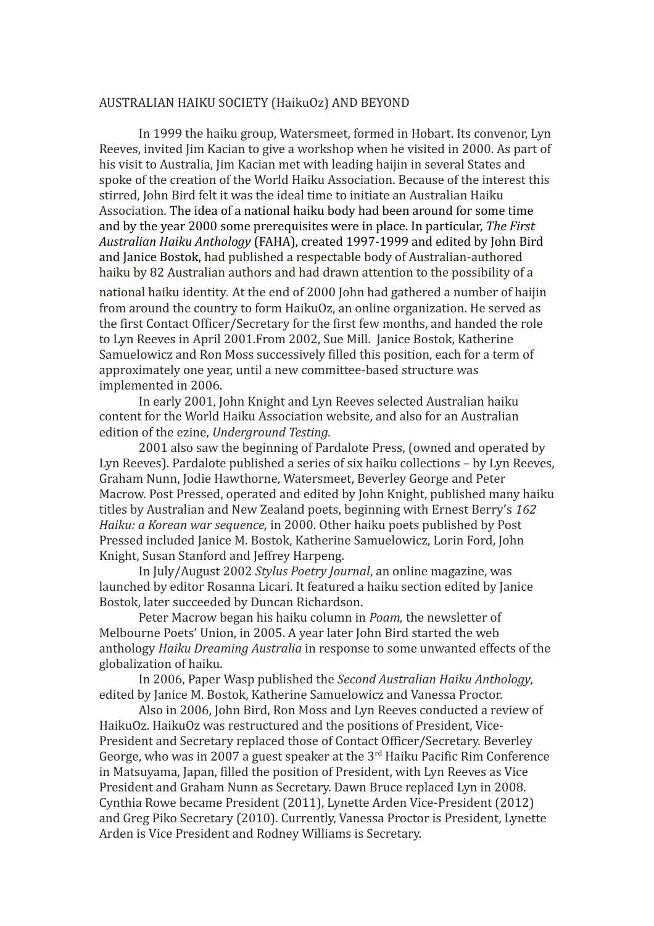## AUSTRALIAN HAIKU SOCIETY (HaikuOz) AND BEYOND

In 1999 the haiku group, Watersmeet, formed in Hobart. Its convenor, Lyn Reeves, invited Jim Kacian to give a workshop when he visited in 2000. As part of his visit to Australia, Jim Kacian met with leading haijin in several States and spoke of the creation of the World Haiku Association. Because of the interest this stirred, John Bird felt it was the ideal time to initiate an Australian Haiku Association. The idea of a national haiku body had been around for some time and by the year 2000 some prerequisites were in place. In particular, *The First Australian Haiku Anthology* (FAHA), created 1997-1999 and edited by John Bird and Janice Bostok, had published a respectable body of Australian-authored haiku by 82 Australian authors and had drawn attention to the possibility of a

national haiku identity. At the end of 2000 John had gathered a number of haijin from around the country to form HaikuOz, an online organization. He served as the first Contact Officer/Secretary for the first few months, and handed the role to Lyn Reeves in April 2001.From 2002, Sue Mill. Janice Bostok, Katherine Samuelowicz and Ron Moss successively filled this position, each for a term of approximately one year, until a new committee-based structure was implemented in 2006.

In early 2001, John Knight and Lyn Reeves selected Australian haiku content for the World Haiku Association website, and also for an Australian edition of the ezine, *Underground Testing.*

2001 also saw the beginning of Pardalote Press, (owned and operated by Lyn Reeves). Pardalote published a series of six haiku collections – by Lyn Reeves, Graham Nunn, Jodie Hawthorne, Watersmeet, Beverley George and Peter Macrow. Post Pressed, operated and edited by John Knight, published many haiku titles by Australian and New Zealand poets, beginning with Ernest Berry's *162 Haiku: a Korean war sequence,* in 2000. Other haiku poets published by Post Pressed included Janice M. Bostok, Katherine Samuelowicz, Lorin Ford, John Knight, Susan Stanford and Jeffrey Harpeng.

In July/August 2002 *Stylus Poetry Journal*, an online magazine, was launched by editor Rosanna Licari. It featured a haiku section edited by Janice Bostok, later succeeded by Duncan Richardson.

Peter Macrow began his haiku column in *Poam,* the newsletter of Melbourne Poets' Union, in 2005. A year later John Bird started the web anthology *Haiku Dreaming Australia* in response to some unwanted effects of the globalization of haiku.

In 2006, Paper Wasp published the *Second Australian Haiku Anthology*, edited by Janice M. Bostok, Katherine Samuelowicz and Vanessa Proctor.

Also in 2006, John Bird, Ron Moss and Lyn Reeves conducted a review of HaikuOz. HaikuOz was restructured and the positions of President, Vice-President and Secretary replaced those of Contact Officer/Secretary. Beverley George, who was in 2007 a guest speaker at the  $3<sup>rd</sup>$  Haiku Pacific Rim Conference in Matsuyama, Japan, filled the position of President, with Lyn Reeves as Vice President and Graham Nunn as Secretary. Dawn Bruce replaced Lyn in 2008. Cynthia Rowe became President (2011), Lynette Arden Vice-President (2012) and Greg Piko Secretary (2010). Currently, Vanessa Proctor is President, Lynette Arden is Vice President and Rodney Williams is Secretary.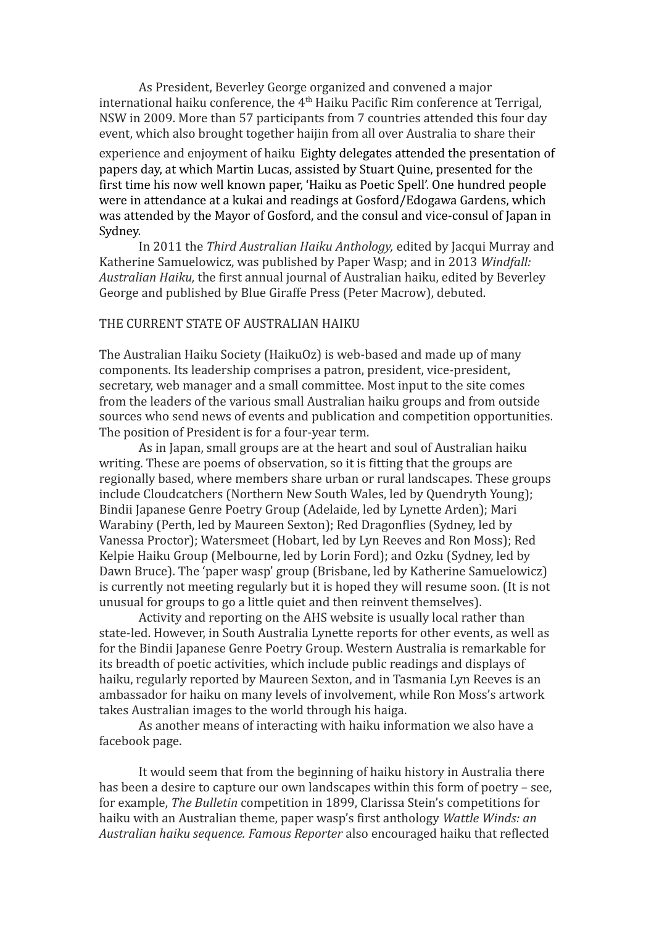As President, Beverley George organized and convened a major international haiku conference, the 4<sup>th</sup> Haiku Pacific Rim conference at Terrigal, NSW in 2009. More than 57 participants from 7 countries attended this four day event, which also brought together haijin from all over Australia to share their experience and enjoyment of haiku Eighty delegates attended the presentation of papers day, at which Martin Lucas, assisted by Stuart Quine, presented for the first time his now well known paper, 'Haiku as Poetic Spell'. One hundred people were in attendance at a kukai and readings at Gosford/Edogawa Gardens, which was attended by the Mayor of Gosford, and the consul and vice-consul of Japan in Sydney.

In 2011 the *Third Australian Haiku Anthology,* edited by Jacqui Murray and Katherine Samuelowicz, was published by Paper Wasp; and in 2013 *Windfall: Australian Haiku,* the first annual journal of Australian haiku, edited by Beverley George and published by Blue Giraffe Press (Peter Macrow), debuted.

#### THE CURRENT STATE OF AUSTRALIAN HAIKU

The Australian Haiku Society (HaikuOz) is web-based and made up of many components. Its leadership comprises a patron, president, vice-president, secretary, web manager and a small committee. Most input to the site comes from the leaders of the various small Australian haiku groups and from outside sources who send news of events and publication and competition opportunities. The position of President is for a four-year term.

As in Japan, small groups are at the heart and soul of Australian haiku writing. These are poems of observation, so it is fitting that the groups are regionally based, where members share urban or rural landscapes. These groups include Cloudcatchers (Northern New South Wales, led by Quendryth Young); Bindii Japanese Genre Poetry Group (Adelaide, led by Lynette Arden); Mari Warabiny (Perth, led by Maureen Sexton); Red Dragonflies (Sydney, led by Vanessa Proctor); Watersmeet (Hobart, led by Lyn Reeves and Ron Moss); Red Kelpie Haiku Group (Melbourne, led by Lorin Ford); and Ozku (Sydney, led by Dawn Bruce). The 'paper wasp' group (Brisbane, led by Katherine Samuelowicz) is currently not meeting regularly but it is hoped they will resume soon. (It is not unusual for groups to go a little quiet and then reinvent themselves).

Activity and reporting on the AHS website is usually local rather than state-led. However, in South Australia Lynette reports for other events, as well as for the Bindii Japanese Genre Poetry Group. Western Australia is remarkable for its breadth of poetic activities, which include public readings and displays of haiku, regularly reported by Maureen Sexton, and in Tasmania Lyn Reeves is an ambassador for haiku on many levels of involvement, while Ron Moss's artwork takes Australian images to the world through his haiga.

As another means of interacting with haiku information we also have a facebook page.

It would seem that from the beginning of haiku history in Australia there has been a desire to capture our own landscapes within this form of poetry – see, for example, *The Bulletin* competition in 1899, Clarissa Stein's competitions for haiku with an Australian theme, paper wasp's first anthology *Wattle Winds: an Australian haiku sequence. Famous Reporter* also encouraged haiku that reflected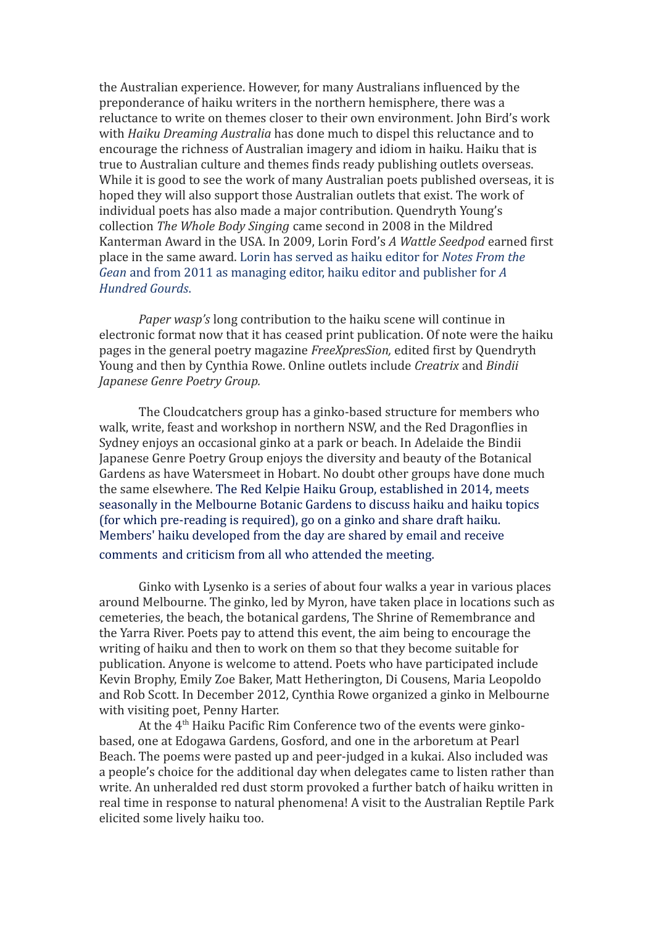the Australian experience. However, for many Australians influenced by the preponderance of haiku writers in the northern hemisphere, there was a reluctance to write on themes closer to their own environment. John Bird's work with *Haiku Dreaming Australia* has done much to dispel this reluctance and to encourage the richness of Australian imagery and idiom in haiku. Haiku that is true to Australian culture and themes finds ready publishing outlets overseas. While it is good to see the work of many Australian poets published overseas, it is hoped they will also support those Australian outlets that exist. The work of individual poets has also made a major contribution. Quendryth Young's collection *The Whole Body Singing* came second in 2008 in the Mildred Kanterman Award in the USA. In 2009, Lorin Ford's *A Wattle Seedpod* earned first place in the same award. Lorin has served as haiku editor for *Notes From the Gean* and from 2011 as managing editor, haiku editor and publisher for *A Hundred Gourds*.

*Paper wasp's* long contribution to the haiku scene will continue in electronic format now that it has ceased print publication. Of note were the haiku pages in the general poetry magazine *FreeXpresSion,* edited first by Quendryth Young and then by Cynthia Rowe. Online outlets include *Creatrix* and *Bindii Japanese Genre Poetry Group.*

The Cloudcatchers group has a ginko-based structure for members who walk, write, feast and workshop in northern NSW, and the Red Dragonflies in Sydney enjoys an occasional ginko at a park or beach. In Adelaide the Bindii Japanese Genre Poetry Group enjoys the diversity and beauty of the Botanical Gardens as have Watersmeet in Hobart. No doubt other groups have done much the same elsewhere. The Red Kelpie Haiku Group, established in 2014, meets seasonally in the Melbourne Botanic Gardens to discuss haiku and haiku topics (for which pre-reading is required), go on a ginko and share draft haiku. Members' haiku developed from the day are shared by email and receive comments and criticism from all who attended the meeting.

Ginko with Lysenko is a series of about four walks a year in various places around Melbourne. The ginko, led by Myron, have taken place in locations such as cemeteries, the beach, the botanical gardens, The Shrine of Remembrance and the Yarra River. Poets pay to attend this event, the aim being to encourage the writing of haiku and then to work on them so that they become suitable for publication. Anyone is welcome to attend. Poets who have participated include Kevin Brophy, Emily Zoe Baker, Matt Hetherington, Di Cousens, Maria Leopoldo and Rob Scott. In December 2012, Cynthia Rowe organized a ginko in Melbourne with visiting poet, Penny Harter.

At the 4<sup>th</sup> Haiku Pacific Rim Conference two of the events were ginkobased, one at Edogawa Gardens, Gosford, and one in the arboretum at Pearl Beach. The poems were pasted up and peer-judged in a kukai. Also included was a people's choice for the additional day when delegates came to listen rather than write. An unheralded red dust storm provoked a further batch of haiku written in real time in response to natural phenomena! A visit to the Australian Reptile Park elicited some lively haiku too.